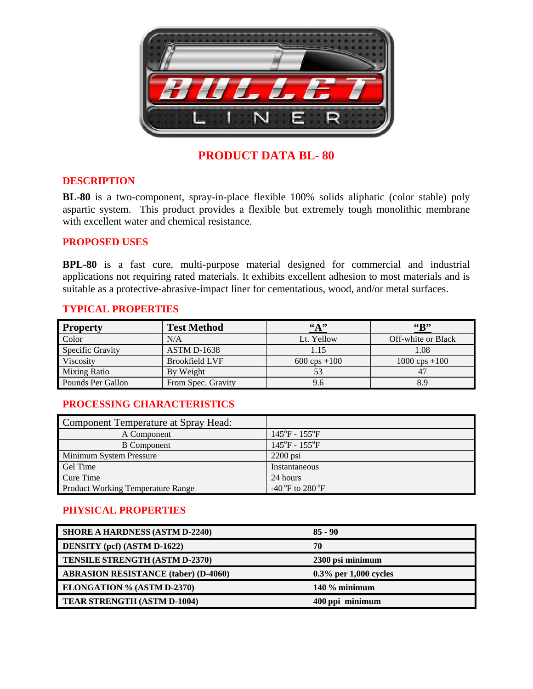

## **PRODUCT DATA BL- 80**

#### **DESCRIPTION**

**BL-80** is a two-component, spray-in-place flexible 100% solids aliphatic (color stable) poly aspartic system. This product provides a flexible but extremely tough monolithic membrane with excellent water and chemical resistance.

#### **PROPOSED USES**

**BPL-80** is a fast cure, multi-purpose material designed for commercial and industrial applications not requiring rated materials. It exhibits excellent adhesion to most materials and is suitable as a protective-abrasive-impact liner for cementatious, wood, and/or metal surfaces.

### **TYPICAL PROPERTIES**

| <b>Property</b>         | <b>Test Method</b>    | $\frac{4\%}{10}$       | $\mathbf{G}$            |
|-------------------------|-----------------------|------------------------|-------------------------|
| Color                   | N/A                   | Lt. Yellow             | Off-white or Black      |
| <b>Specific Gravity</b> | <b>ASTM D-1638</b>    | 1.15                   | 1.08                    |
| Viscosity               | <b>Brookfield LVF</b> | $600 \text{cps} + 100$ | $1000 \text{cps} + 100$ |
| <b>Mixing Ratio</b>     | By Weight             | 53                     |                         |
| Pounds Per Gallon       | From Spec. Gravity    | 9.6                    | 8.9                     |

#### **PROCESSING CHARACTERISTICS**

| Component Temperature at Spray Head:     |                                          |
|------------------------------------------|------------------------------------------|
| A Component                              | $145^{\circ}F - 155^{\circ}F$            |
| <b>B</b> Component                       | $145^{\circ}F - 155^{\circ}F$            |
| Minimum System Pressure                  | $2200$ psi                               |
| Gel Time                                 | Instantaneous                            |
| Cure Time                                | 24 hours                                 |
| <b>Product Working Temperature Range</b> | -40 $\mathrm{^oF}$ to 280 $\mathrm{^oF}$ |

#### **PHYSICAL PROPERTIES**

| <b>SHORE A HARDNESS (ASTM D-2240)</b>       | $85 - 90$                |
|---------------------------------------------|--------------------------|
| <b>DENSITY</b> (pcf) (ASTM D-1622)          | 70                       |
| <b>TENSILE STRENGTH (ASTM D-2370)</b>       | 2300 psi minimum         |
| <b>ABRASION RESISTANCE (taber) (D-4060)</b> | $0.3\%$ per 1,000 cycles |
| <b>ELONGATION % (ASTM D-2370)</b>           | $140\%$ minimum          |
| TEAR STRENGTH (ASTM D-1004)                 | 400 ppi minimum          |